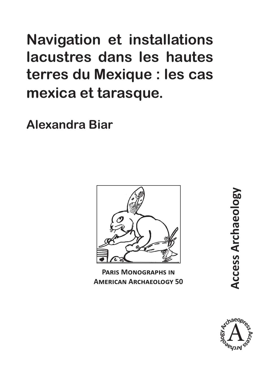**Navigation et installations lacustres dans les hautes terres du Mexique : les cas mexica et tarasque.**

**Alexandra Biar**



**Paris Monographs in American Archaeology 50**

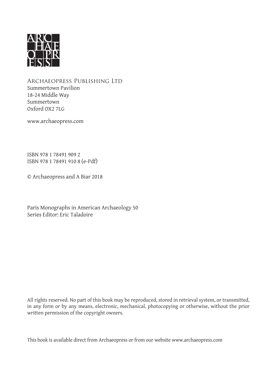

Archaeopress Publishing Ltd Summertown Pavilion 18-24 Middle Way Summertown Oxford OX2 7LG

www.archaeopress.com

ISBN 978 1 78491 909 2 ISBN 978 1 78491 910 8 (e-Pdf)

© Archaeopress and A Biar 2018

Paris Monographs in American Archaeology 50 Series Editor: Eric Taladoire

All rights reserved. No part of this book may be reproduced, stored in retrieval system, or transmitted, in any form or by any means, electronic, mechanical, photocopying or otherwise, without the prior written permission of the copyright owners.

This book is available direct from Archaeopress or from our website www.archaeopress.com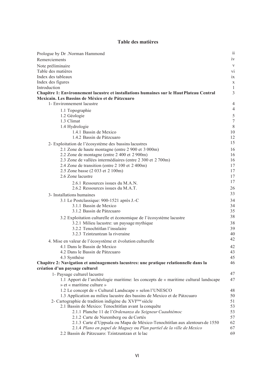## Table des matières

| Prologue by Dr .Norman Hammond                                                                  | $\mathbf{ii}$                                        |
|-------------------------------------------------------------------------------------------------|------------------------------------------------------|
| Remerciements                                                                                   | iv                                                   |
| Note préliminaire                                                                               | V                                                    |
| Table des matières                                                                              | vi                                                   |
| Index des tableaux                                                                              | ix                                                   |
| Index des figures                                                                               | X                                                    |
| Introduction                                                                                    | 1                                                    |
| Chapitre 1: Environnement lacustre et installations humaines sur le Haut Plateau Central        | 3                                                    |
| Mexicain. Les Bassins de México et de Pátzcuaro                                                 |                                                      |
| 1- Environnement lacustre                                                                       | $\overline{\mathcal{A}}$<br>$\overline{\mathcal{A}}$ |
| 1.1 Topographie                                                                                 |                                                      |
| 1.2 Géologie<br>1.3 Climat                                                                      | 5<br>7                                               |
| 1.4 Hydrologie                                                                                  | 8                                                    |
| 1.4.1 Bassin de Mexico                                                                          | 10                                                   |
| 1.4.2 Bassin de Pátzcuaro                                                                       | 12                                                   |
| 2- Exploitation de l'écosystème des bassins lacustres                                           | 15                                                   |
| 2.1 Zone de haute montagne (entre 2 900 et 3 000m)                                              | 16                                                   |
| 2.2 Zone de montagne (entre 2 400 et 2 900m)                                                    | 16                                                   |
| 2.3 Zone de vallées intermédiaires (entre 2 300 et 2 700m)                                      | 16                                                   |
| 2.4 Zone de transition (entre 2 100 et 2 400m)                                                  | 17                                                   |
| 2.5 Zone basse (2 033 et 2 100m)                                                                | 17                                                   |
| 2.6 Zone lacustre                                                                               | 17                                                   |
| 2.6.1 Ressources issues du M.A.N.                                                               | 17                                                   |
| 2.6.2 Ressources issues du M.A.T.                                                               | 26                                                   |
| 3- Installations humaines                                                                       | 33                                                   |
| 3.1 Le Postclassique: 900-1521 après J.-C                                                       | 34                                                   |
| 3.1.1 Bassin de Mexico                                                                          | 34                                                   |
| 3.1.2 Bassin de Pátzcuaro                                                                       | 35<br>38                                             |
| 3.2 Exploitation culturelle et économique de l'écosystème lacustre                              |                                                      |
| 3.2.1 Milieu lacustre: un paysage mythique<br>3.2.2 Tenochtitlan l'insulaire                    | 38<br>39                                             |
| 3.2.3 Tzintzuntzan la riveraine                                                                 | 40                                                   |
|                                                                                                 | 42                                                   |
| 4. Mise en valeur de l'écosystème et évolution culturelle<br>4.1 Dans le Bassin de Mexico       | 42                                                   |
| 4.2 Dans le Bassin de Pátzcuaro                                                                 | 43                                                   |
| 4.3 Synthèse                                                                                    | 45                                                   |
| Chapitre 2: Navigation et aménagements lacustres: une pratique relationnelle dans la            | 46                                                   |
| création d'un paysage culturel                                                                  |                                                      |
| 1- Paysage culturel lacustre                                                                    | 47                                                   |
| 1.1 Apport de l'archéologie maritime: les concepts de « maritime cultural landscape             | 47                                                   |
| » et « maritime culture »                                                                       |                                                      |
| 1.2 Le concept de « Cultural Landscape » selon l'UNESCO                                         | 48                                                   |
| 1.3 Application au milieu lacustre des bassins de Mexico et de Pátzcuaro                        | 50                                                   |
| 2- Cartographie de tradition indigène du XVIème siècle                                          | 51                                                   |
| 2.1 Bassin de Mexico: Tenochtitlan avant la conquête                                            | 53                                                   |
| 2.1.1 Planche 11 de l'Ordenanza du Seigneur Cuauhtémoc<br>2.1.2 Carte de Nuremberg ou de Cortés | 53<br>57                                             |
| 2.1.3 Carte d'Uppsala ou Mapa de México-Tenochtitlan aux alentours de 1550                      | 62                                                   |
| 2.1.4 Plano en papel de Maguey ou Plan partiel de la ville de Mexico                            | 67                                                   |
| 2.2 Bassin de Pátzcuaro: Tzintzuntzan et le lac                                                 | 69                                                   |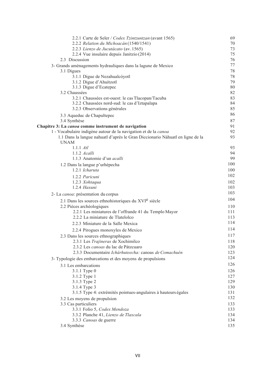| 2.2.1 Carte de Seler / Codex Tzintzuntzan (avant 1565)                        | 69         |
|-------------------------------------------------------------------------------|------------|
| 2.2.2 Relation du Michoacán (1540/1541)                                       | 70         |
| 2.2.3 Lienzo de Jucutácato (av. 1565)                                         | 73         |
| 2.2.4 Vue insulaire depuis Janitzio (2014)                                    | 75         |
| 2.3 Discussion                                                                | 76         |
| 3- Grands aménagements hydrauliques dans la lagune de Mexico                  | 77         |
| 3.1 Digues                                                                    | 78         |
| 3.1.1 Digue de Nezahualcóyotl                                                 | 78         |
| 3.1.2 Digue d'Ahuítzotl                                                       | 79         |
| 3.1.3 Digue d'Ecatepec                                                        | 80         |
| 3.2 Chaussées                                                                 | 82         |
| 3.2.1 Chaussées est-ouest: le cas Tlacopan/Tacuba                             | 83         |
| 3.2.2 Chaussées nord-sud: le cas d'Iztapalapa                                 | 84         |
| 3.2.3 Observations générales                                                  | 85         |
| 3.3 Aqueduc de Chapultepec                                                    | 86         |
| 3.4 Synthèse                                                                  | 87         |
| Chapitre 3: La canoa comme instrument de navigation                           | 91         |
| 1 - Vocabulaire indigène autour de la navigation et de la canoa               | 92         |
| 1.1 Dans la langue nahuatl d'après le Gran Diccionario Náhuatl en ligne de la | 93         |
| <b>UNAM</b>                                                                   |            |
| $1.1.1$ $Atl$                                                                 | 93         |
| 1.1.2 Acalli                                                                  | 94         |
| 1.1.3 Anatomie d'un <i>acalli</i>                                             | 99         |
| 1.2 Dans la langue p'urhépecha                                                | 100        |
| 1.2.1 Icharuta                                                                | 100        |
| 1.2.2 Paricuni                                                                | 102        |
| $1.2.3$ Xohtaqua                                                              | 102        |
| $1.2.4$ Haxuni                                                                | 103        |
| 2- La canoa: présentation du corpus                                           | 103        |
| 2.1 Dans les sources ethnohistoriques du XVI <sup>e</sup> siècle              | 104        |
| 2.2 Pièces archéologiques                                                     | 110        |
| 2.2.1 Les miniatures de l'offrande 41 du Templo Mayor                         | 111        |
| 2.2.2 La miniature de Tlatelolco                                              | 113        |
| 2.2.3 Miniature de la Salle Mexica                                            | 114        |
|                                                                               | 114        |
| 2.2.4 Pirogues monoxyles de Mexico                                            | 117        |
| 2.3 Dans les sources ethnographiques                                          |            |
| 2.3.1 Les Trajineras de Xochimilco<br>2.3.2 Les canoas du lac de Pátzcuaro    | 118<br>120 |
| 2.3.3 Documentaire Ichárhuteecha: canoas de Comachuén                         | 123        |
|                                                                               | 124        |
| 3- Typologie des embarcations et des moyens de propulsions                    |            |
| 3.1 Les embarcations                                                          | 126        |
| 3.1.1 Type 0                                                                  | 126        |
| 3.1.2 Type 1                                                                  | 127        |
| 3.1.3 Type 2                                                                  | 129        |
| 3.1.4 Type 3                                                                  | 130        |
| 3.1.5 Type 4: extrémités pointues-angulaires à hauteurs égales                | 131        |
| 3.2 Les moyens de propulsion                                                  | 132        |
| 3.3 Cas particuliers                                                          | 133        |
| 3.3.1 Folio 5, Codex Mendoza                                                  | 133        |
| 3.3.2 Planche 41, Lienzo de Tlaxcala                                          | 134        |
| 3.3.3 Canoas de guerre                                                        | 134<br>135 |
| 3.4 Synthèse                                                                  |            |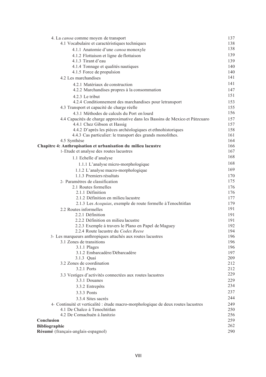| 4. La canoa comme moyen de transport                                                    | 137        |
|-----------------------------------------------------------------------------------------|------------|
| 4.1 Vocabulaire et caractéristiques techniques                                          | 138        |
| 4.1.1 Anatomie d'une canoa monoxyle                                                     | 138        |
| 4.1.2 Flottaison et ligne de flottaison                                                 | 139        |
| 4.1.3 Tirant d'eau                                                                      | 139        |
| 4.1.4 Tonnage et qualités nautiques                                                     | 140        |
| 4.1.5 Force de propulsion                                                               | 140        |
| 4.2 Les marchandises                                                                    | 141        |
| 4.2.1 Matériaux de construction                                                         | 141        |
| 4.2.2 Marchandises propres à la consommation                                            | 147        |
| 4.2.3 Le tribut                                                                         | 151        |
| 4.2.4 Conditionnement des marchandises pour letransport                                 | 153        |
| 4.3 Transport et capacité de charge réelle                                              | 155        |
| 4.3.1 Méthodes de calculs du Port en lourd                                              | 156        |
| 4.4 Capacités de charge approximative dans les Bassins de Mexico et Pátzcuaro           | 157        |
| 4.4.1 Chez Gibson et Hassig                                                             | 157        |
| 4.4.2 D'après les pièces archéologiques et ethnohistoriques                             | 158        |
| 4.4.3 Cas particulier: le transport des grands monolithes.                              | 161        |
| 4.5 Synthèse                                                                            | 164        |
| Chapitre 4: Anthropisation et urbanisation du milieu lacustre                           | 166        |
| 1- Etude et analyse des routes lacustres                                                | 167        |
| 1.1 Echelle d'analyse                                                                   | 168        |
| 1.1.1 L'analyse micro-morphologique                                                     | 168        |
| 1.1.2 L'analyse macro-morphologique                                                     | 169        |
| 1.1.3 Premiers résultats                                                                | 170        |
| 2- Paramètres de classification                                                         | 175        |
| 2.1 Routes formelles                                                                    | 176        |
| 2.1.1 Définition                                                                        | 176        |
| 2.1.2 Définition en milieu lacustre                                                     | 177        |
| 2.1.3 Les Acequias, exemple de route formelle à Tenochtitlan                            | 179        |
| 2.2 Routes informelles                                                                  | 191        |
| 2.2.1 Définition                                                                        | 191        |
| 2.2.2 Définition en milieu lacustre                                                     | 191        |
| 2.2.3 Exemple à travers le Plano en Papel de Maguey                                     | 192        |
| 2.2.4 Route lacustre du Codex Reese                                                     | 194        |
| 3- Les marqueurs anthropiques attachés aux routes lacustres<br>3.1 Zones de transitions | 196        |
|                                                                                         | 196<br>196 |
| 3.1.1 Plages<br>3.1.2 Embarcadère/Débarcadère                                           | 197        |
| 3.1.3 Quai                                                                              | 209        |
| 3.2 Zones de coordination                                                               | 212        |
| 3.2.1 Ports                                                                             | 212        |
| 3.3 Vestiges d'activités connectées aux routes lacustres                                | 229        |
| 3.3.1 Douanes                                                                           | 229        |
| 3.3.2 Entrepôts                                                                         | 234        |
| 3.3.3 Ponts                                                                             | 237        |
| 3.3.4 Sites sacrés                                                                      | 244        |
| 4- Continuité et verticalité : étude macro-morphologique de deux routes lacustres       | 249        |
| 4.1 De Chalco à Tenochtitlan                                                            | 250        |
| 4.2 De Comachuén à Janitzio                                                             | 256        |
| Conclusion                                                                              | 259        |
| <b>Bibliographie</b>                                                                    | 262        |
| Résumé (français-anglais-espagnol)                                                      | 290        |